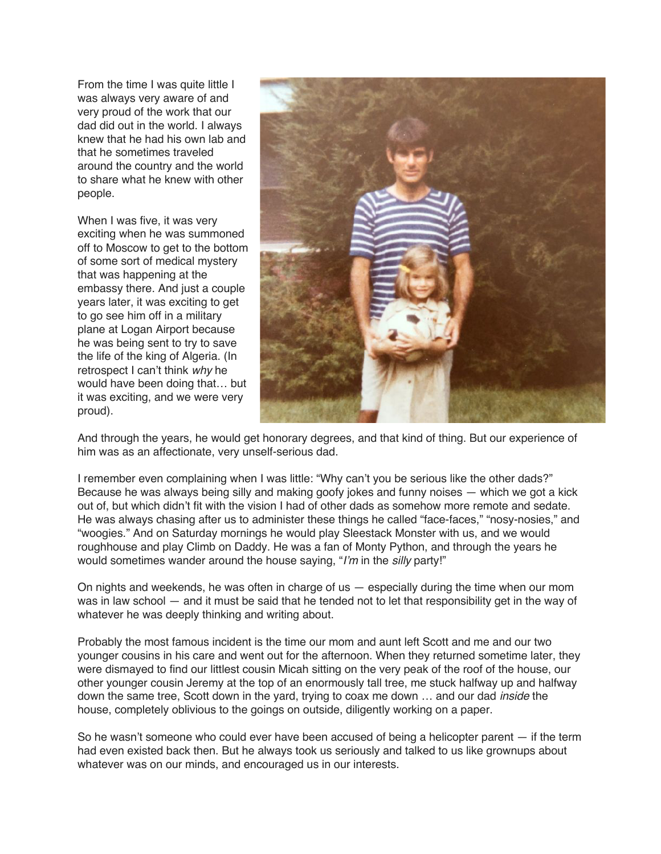From the time I was quite little I was always very aware of and very proud of the work that our dad did out in the world. I always knew that he had his own lab and that he sometimes traveled around the country and the world to share what he knew with other people.

When I was five, it was very exciting when he was summoned off to Moscow to get to the bottom of some sort of medical mystery that was happening at the embassy there. And just a couple years later, it was exciting to get to go see him off in a military plane at Logan Airport because he was being sent to try to save the life of the king of Algeria. (In retrospect I can't think *why* he would have been doing that… but it was exciting, and we were very proud).



And through the years, he would get honorary degrees, and that kind of thing. But our experience of him was as an affectionate, very unself-serious dad.

I remember even complaining when I was little: "Why can't you be serious like the other dads?" Because he was always being silly and making goofy jokes and funny noises — which we got a kick out of, but which didn't fit with the vision I had of other dads as somehow more remote and sedate. He was always chasing after us to administer these things he called "face-faces," "nosy-nosies," and "woogies." And on Saturday mornings he would play Sleestack Monster with us, and we would roughhouse and play Climb on Daddy. He was a fan of Monty Python, and through the years he would sometimes wander around the house saying, "*I'm* in the *silly* party!"

On nights and weekends, he was often in charge of us — especially during the time when our mom was in law school — and it must be said that he tended not to let that responsibility get in the way of whatever he was deeply thinking and writing about.

Probably the most famous incident is the time our mom and aunt left Scott and me and our two younger cousins in his care and went out for the afternoon. When they returned sometime later, they were dismayed to find our littlest cousin Micah sitting on the very peak of the roof of the house, our other younger cousin Jeremy at the top of an enormously tall tree, me stuck halfway up and halfway down the same tree, Scott down in the yard, trying to coax me down … and our dad *inside* the house, completely oblivious to the goings on outside, diligently working on a paper.

So he wasn't someone who could ever have been accused of being a helicopter parent — if the term had even existed back then. But he always took us seriously and talked to us like grownups about whatever was on our minds, and encouraged us in our interests.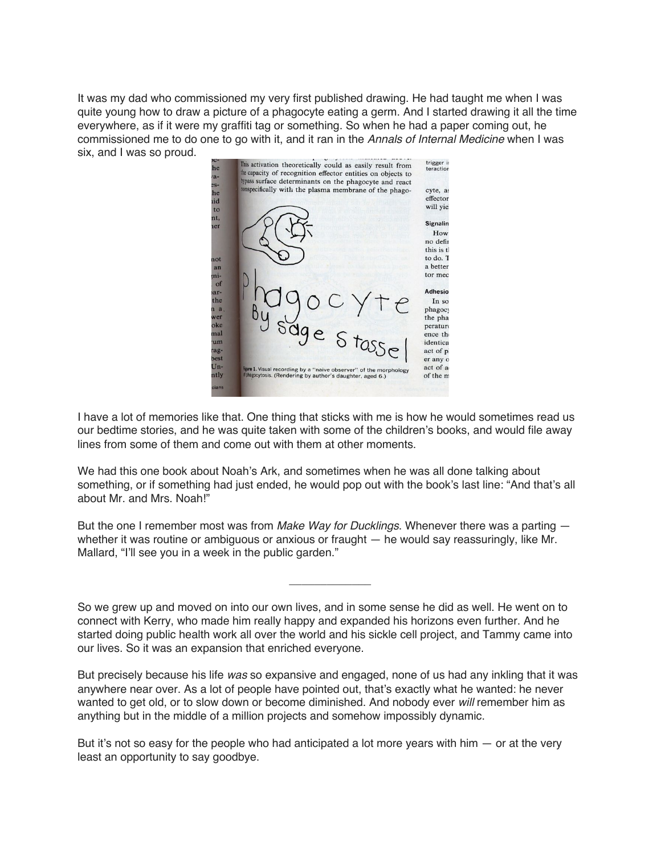It was my dad who commissioned my very first published drawing. He had taught me when I was quite young how to draw a picture of a phagocyte eating a germ. And I started drawing it all the time everywhere, as if it were my graffiti tag or something. So when he had a paper coming out, he commissioned me to do one to go with it, and it ran in the *Annals of Internal Medicine* when I was six, and I was so proud.



I have a lot of memories like that. One thing that sticks with me is how he would sometimes read us our bedtime stories, and he was quite taken with some of the children's books, and would file away lines from some of them and come out with them at other moments.

We had this one book about Noah's Ark, and sometimes when he was all done talking about something, or if something had just ended, he would pop out with the book's last line: "And that's all about Mr. and Mrs. Noah!"

But the one I remember most was from *Make Way for Ducklings*. Whenever there was a parting whether it was routine or ambiguous or anxious or fraught — he would say reassuringly, like Mr. Mallard, "I'll see you in a week in the public garden."

So we grew up and moved on into our own lives, and in some sense he did as well. He went on to connect with Kerry, who made him really happy and expanded his horizons even further. And he started doing public health work all over the world and his sickle cell project, and Tammy came into our lives. So it was an expansion that enriched everyone.

\_\_\_\_\_\_\_\_\_\_\_\_\_

But precisely because his life *was* so expansive and engaged, none of us had any inkling that it was anywhere near over. As a lot of people have pointed out, that's exactly what he wanted: he never wanted to get old, or to slow down or become diminished. And nobody ever *will* remember him as anything but in the middle of a million projects and somehow impossibly dynamic.

But it's not so easy for the people who had anticipated a lot more years with him  $-$  or at the very least an opportunity to say goodbye.